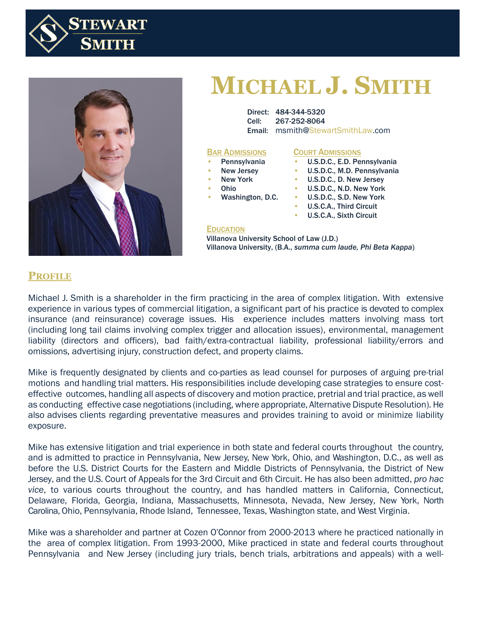



# **MICHAEL J. SMITH**

Direct: 484-344-5320 Cell: 267-252-8064 Email: msmith@StewartSmithLaw.com

#### BAR ADMISSIONS

- **Pennsylvania**
- New Jersey • New York

#### COURT ADMISSIONS

- U.S.D.C., E.D. Pennsylvania
- sey  **U.S.D.C., M.D. Pennsylvania**
- k **b. U.S.D.C., D. New Jersey**
- Ohio
- Washington, D.C. •
- U.S.D.C., N.D. New York • U.S.D.C., S.D. New York
	- U.S.C.A., Third Circuit
	- U.S.C.A., Sixth Circuit

#### **EDUCATION**

**EDUCATION**<br>Villanova University School of Law (J.D.) Circuit Villanova University, (B.A., *summa cum laude, Phi Beta Kappa*) Washington, D.C. U.S. U.S.C.A., Sixth D.C.A., Sixth D.C.A., Sixth D.C.A., Sixth D.C.A., Sixth D.C.A., Sixth D.C.

## **PROFILE**

Michael J. Smith is a shareholder in the firm practicing in the area of complex litigation. With extensive experience in various types of commercial litigation, a significant part of his practice is devoted to complex insurance (and reinsurance) coverage issues. His experience includes matters involving mass tort (including long tail claims involving complex trigger and allocation issues), environmental, management liability (directors and officers), bad faith/extra-contractual liability, professional liability/errors and omissions, advertising injury, construction defect, and property claims.

Mike is frequently designated by clients and co-parties as lead counsel for purposes of arguing pre-trial motions and handling trial matters. His responsibilities include developing case strategies to ensure costeffective outcomes, handling all aspects of discovery and motion practice, pretrial and trial practice, as well as conducting effective case negotiations (including, where appropriate, Alternative Dispute Resolution). He also advises clients regarding preventative measures and provides training to avoid or minimize liability exposure.

Mike has extensive litigation and trial experience in both state and federal courts throughout the country, and is admitted to practice in Pennsylvania, New Jersey, New York, Ohio, and Washington, D.C., as well as before the U.S. District Courts for the Eastern and Middle Districts of Pennsylvania, the District of New Jersey, and the U.S. Court of Appeals for the 3rd Circuit and 6th Circuit. He has also been admitted, *pro hac vice*, to various courts throughout the country, and has handled matters in California, Connecticut, Delaware, Florida, Georgia, Indiana, Massachusetts, Minnesota, Nevada, New Jersey, New York, North Carolina, Ohio, Pennsylvania, Rhode Island, Tennessee, Texas, Washington state, and West Virginia.

Mike was a shareholder and partner at Cozen O'Connor from 2000-2013 where he practiced nationally in the area of complex litigation. From 1993-2000, Mike practiced in state and federal courts throughout Pennsylvania and New Jersey (including jury trials, bench trials, arbitrations and appeals) with a well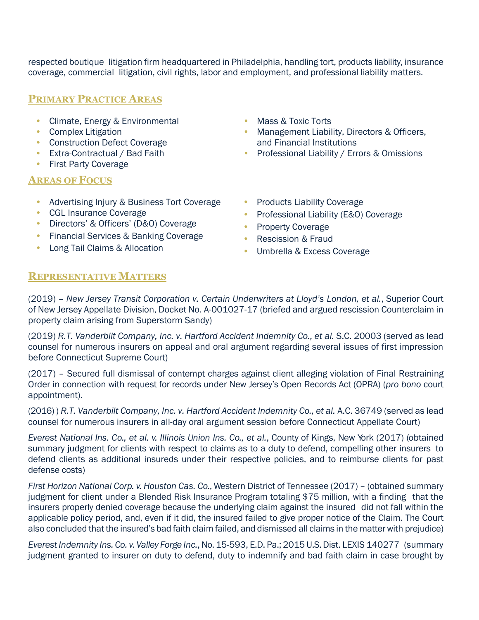respected boutique litigation firm headquartered in Philadelphia, handling tort, products liability, insurance coverage, commercial litigation, civil rights, labor and employment, and professional liability matters.

# **PRIMARY PRACTICE AREAS**

- Climate, Energy & Environmental
- Complex Litigation
- Construction Defect Coverage
- Extra-Contractual / Bad Faith
- First Party Coverage

### **AREAS OF FOCUS**

- Advertising Injury & Business Tort Coverage
- CGL Insurance Coverage
- Directors' & Officers' (D&O) Coverage
- Financial Services & Banking Coverage
- Long Tail Claims & Allocation
- Mass & Toxic Torts
- Management Liability, Directors & Officers, and Financial Institutions
- Professional Liability / Errors & Omissions
- Products Liability Coverage
- Professional Liability (E&O) Coverage
- Property Coverage
- Rescission & Fraud
- Umbrella & Excess Coverage

# **REPRESENTATIVE MATTERS**

(2019) – *New Jersey Transit Corporation v. Certain Underwriters at Lloyd's London, et al.*, Superior Court of New Jersey Appellate Division, Docket No. A-001027-17 (briefed and argued rescission Counterclaim in property claim arising from Superstorm Sandy)

(2019) *R.T. Vanderbilt Company, Inc. v. Hartford Accident Indemnity Co., et al.* S.C. 20003 (served as lead counsel for numerous insurers on appeal and oral argument regarding several issues of first impression before Connecticut Supreme Court)

(2017) – Secured full dismissal of contempt charges against client alleging violation of Final Restraining Order in connection with request for records under New Jersey's Open Records Act (OPRA) (*pro bono* court appointment).

(2016) ) *R.T. Vanderbilt Company, Inc. v. Hartford Accident Indemnity Co., et al.* A.C. 36749 (served as lead counsel for numerous insurers in all-day oral argument session before Connecticut Appellate Court)

*Everest National Ins. Co., et al. v. Illinois Union Ins. Co., et al.*, County of Kings, New York (2017) (obtained summary judgment for clients with respect to claims as to a duty to defend, compelling other insurers to defend clients as additional insureds under their respective policies, and to reimburse clients for past defense costs)

*First Horizon National Corp. v. Houston Cas. Co.*, Western District of Tennessee (2017) – (obtained summary judgment for client under a Blended Risk Insurance Program totaling \$75 million, with a finding that the insurers properly denied coverage because the underlying claim against the insured did not fall within the applicable policy period, and, even if it did, the insured failed to give proper notice of the Claim. The Court also concluded that the insured's bad faith claim failed, and dismissed all claims in the matter with prejudice)

*Everest Indemnity Ins. Co. v. Valley Forge Inc.*, No. 15-593, E.D. Pa.; 2015 U.S.Dist. LEXIS 140277 (summary judgment granted to insurer on duty to defend, duty to indemnify and bad faith claim in case brought by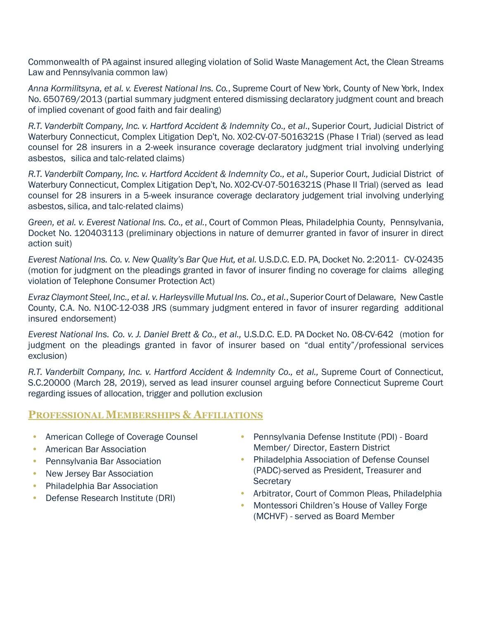Commonwealth of PA against insured alleging violation of Solid Waste Management Act, the Clean Streams Law and Pennsylvania common law)

*Anna Kormilitsyna, et al. v. Everest National Ins. Co.*, Supreme Court of New York, County of New York, Index No. 650769/2013 (partial summary judgment entered dismissing declaratory judgment count and breach of implied covenant of good faith and fair dealing)

*R.T. Vanderbilt Company, Inc. v. Hartford Accident & Indemnity Co., et al*., Superior Court, Judicial District of Waterbury Connecticut, Complex Litigation Dep't, No. X02-CV-07-5016321S (Phase I Trial) (served as lead counsel for 28 insurers in a 2-week insurance coverage declaratory judgment trial involving underlying asbestos, silica and talc-related claims)

*R.T. Vanderbilt Company, Inc. v. Hartford Accident & Indemnity Co., et al.,* Superior Court, Judicial District of Waterbury Connecticut, Complex Litigation Dep't, No. X02-CV-07-5016321S (Phase II Trial) (served as lead counsel for 28 insurers in a 5-week insurance coverage declaratory judgement trial involving underlying asbestos, silica, and talc-related claims)

*Green, et al. v. Everest National Ins. Co., et al.*, Court of Common Pleas, Philadelphia County, Pennsylvania, Docket No. 120403113 (preliminary objections in nature of demurrer granted in favor of insurer in direct action suit)

*Everest National Ins. Co. v. New Quality's Bar Que Hut, et al.* U.S.D.C. E.D. PA, Docket No. 2:2011- CV-02435 (motion for judgment on the pleadings granted in favor of insurer finding no coverage for claims alleging violation of Telephone Consumer Protection Act)

*Evraz Claymont Steel, Inc., et al. v. Harleysville MutualIns. Co., et al.*, Superior Court ofDelaware, NewCastle County, C.A. No. N10C-12-038 JRS (summary judgment entered in favor of insurer regarding additional insured endorsement)

*Everest National Ins. Co. v. J. Daniel Brett & Co., et al.,* U.S.D.C. E.D. PA Docket No. 08-CV-642 (motion for judgment on the pleadings granted in favor of insurer based on "dual entity"/professional services exclusion)

*R.T. Vanderbilt Company, Inc. v. Hartford Accident & Indemnity Co., et al.,* Supreme Court of Connecticut, S.C.20000 (March 28, 2019), served as lead insurer counsel arguing before Connecticut Supreme Court regarding issues of allocation, trigger and pollution exclusion

## **PROFESSIONAL MEMBERSHIPS & AFFILIATIONS**

- American College of Coverage Counsel
- American Bar Association
- Pennsylvania Bar Association
- New Jersey Bar Association
- Philadelphia Bar Association
- Defense Research Institute (DRI)
- Pennsylvania Defense Institute (PDI) Board Member/ Director, Eastern District
- Philadelphia Association of Defense Counsel (PADC)-served as President, Treasurer and **Secretary**
- Arbitrator, Court of Common Pleas, Philadelphia
- Montessori Children's House of Valley Forge (MCHVF) - served as Board Member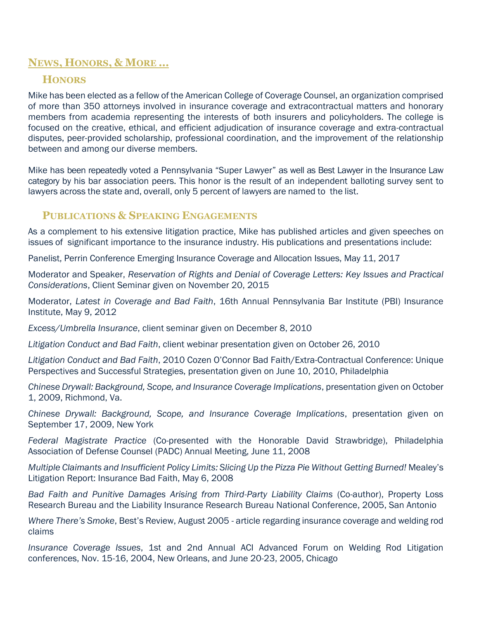# **NEWS, HONORS, & MORE …**

## **HONORS**

Mike has been elected as a fellow of the American College of Coverage Counsel, an organization comprised of more than 350 attorneys involved in insurance coverage and extracontractual matters and honorary members from academia representing the interests of both insurers and policyholders. The college is focused on the creative, ethical, and efficient adjudication of insurance coverage and extra-contractual disputes, peer-provided scholarship, professional coordination, and the improvement of the relationship between and among our diverse members.

Mike has been repeatedly voted a Pennsylvania "Super Lawyer" as well as Best Lawyer in the Insurance Law category by his bar association peers. This honor is the result of an independent balloting survey sent to lawyers across the state and, overall, only 5 percent of lawyers are named to the list.

#### **PUBLICATIONS & SPEAKING ENGAGEMENTS**

As a complement to his extensive litigation practice, Mike has published articles and given speeches on issues of significant importance to the insurance industry. His publications and presentations include:

Panelist, Perrin Conference Emerging Insurance Coverage and Allocation Issues, May 11, 2017

Moderator and Speaker, *Reservation of Rights and Denial of Coverage Letters: Key Issues and Practical Considerations*, Client Seminar given on November 20, 2015

Moderator, *Latest in Coverage and Bad Faith*, 16th Annual Pennsylvania Bar Institute (PBI) Insurance Institute, May 9, 2012

*Excess/Umbrella Insurance*, client seminar given on December 8, 2010

*Litigation Conduct and Bad Faith*, client webinar presentation given on October 26, 2010

*Litigation Conduct and Bad Faith*, 2010 Cozen O'Connor Bad Faith/Extra-Contractual Conference: Unique Perspectives and Successful Strategies, presentation given on June 10, 2010, Philadelphia

*Chinese Drywall: Background, Scope, and Insurance Coverage Implications*, presentation given on October 1, 2009, Richmond, Va.

*Chinese Drywall: Background, Scope, and Insurance Coverage Implications*, presentation given on September 17, 2009, New York

*Federal Magistrate Practice* (Co-presented with the Honorable David Strawbridge), Philadelphia Association of Defense Counsel (PADC) Annual Meeting, June 11, 2008

*Multiple Claimants and Insufficient Policy Limits: Slicing Up the Pizza Pie Without Getting Burned!* Mealey's Litigation Report: Insurance Bad Faith, May 6, 2008

*Bad Faith and Punitive Damages Arising from Third-Party Liability Claims* (Co-author), Property Loss Research Bureau and the Liability Insurance Research Bureau National Conference, 2005, San Antonio

*Where There's Smoke*, Best's Review, August 2005 - article regarding insurance coverage and welding rod claims

*Insurance Coverage Issues*, 1st and 2nd Annual ACI Advanced Forum on Welding Rod Litigation conferences, Nov. 15-16, 2004, New Orleans, and June 20-23, 2005, Chicago